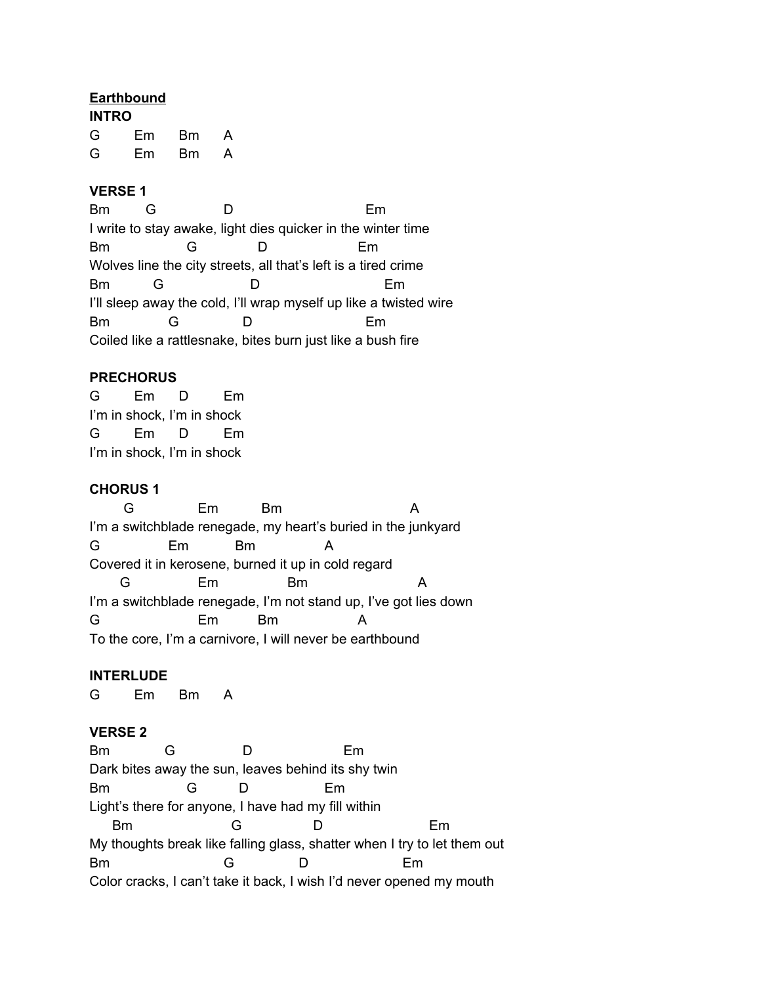### **Earthbound**

| <b>INTRO</b> |     |    |   |
|--------------|-----|----|---|
| G            | Em. | Bm | A |
| G            | Em  | Bm | A |

## **VERSE 1**

Bm G D Em I write to stay awake, light dies quicker in the winter time Bm G D Em Wolves line the city streets, all that's left is a tired crime Bm G D Em I'll sleep away the cold, I'll wrap myself up like a twisted wire Bm G D Em Coiled like a rattlesnake, bites burn just like a bush fire

# **PRECHORUS**

G Em D Em I'm in shock, I'm in shock G Em D Em I'm in shock, I'm in shock

## **CHORUS 1**

G Em Bm A I'm a switchblade renegade, my heart's buried in the junkyard G Em Bm A Covered it in kerosene, burned it up in cold regard G Em Bm A I'm a switchblade renegade, I'm not stand up, I've got lies down G Em Bm A To the core, I'm a carnivore, I will never be earthbound

### **INTERLUDE**

G Em Bm A

# **VERSE 2**

Bm G D Em Dark bites away the sun, leaves behind its shy twin Bm G D Em Light's there for anyone, I have had my fill within Bm G D Em My thoughts break like falling glass, shatter when I try to let them out Bm G D Em Color cracks, I can't take it back, I wish I'd never opened my mouth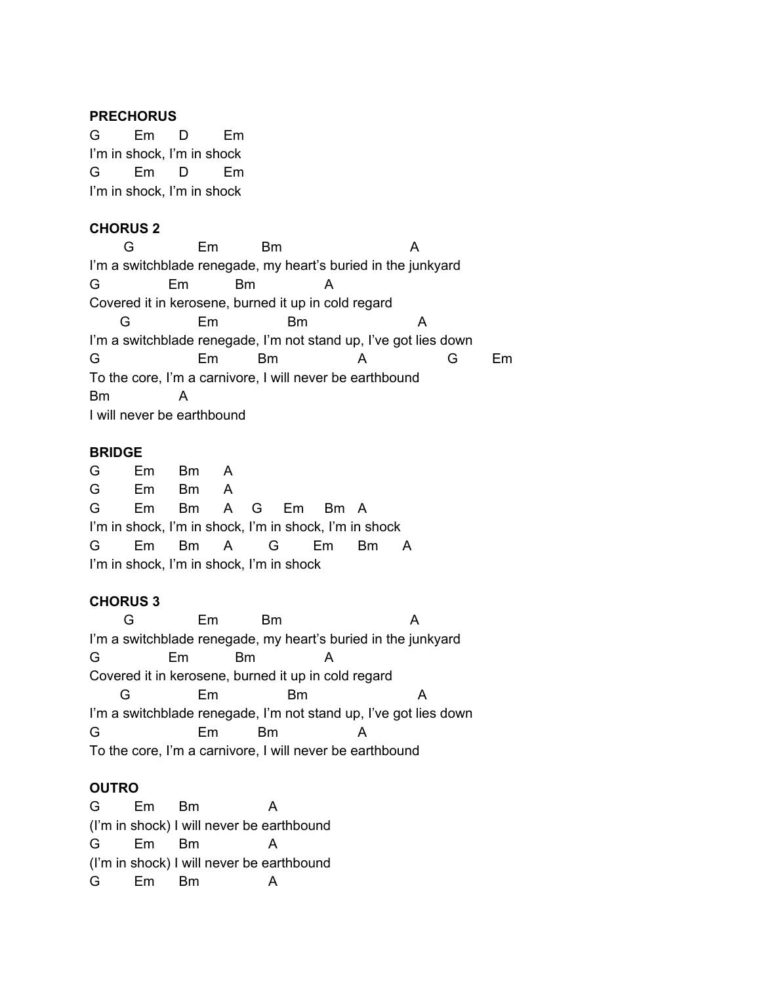#### **PRECHORUS**

G Em D Em I'm in shock, I'm in shock G Em D Em I'm in shock, I'm in shock

## **CHORUS 2**

G Em Bm A I'm a switchblade renegade, my heart's buried in the junkyard G Em Bm A Covered it in kerosene, burned it up in cold regard G Em Bm A I'm a switchblade renegade, I'm not stand up, I've got lies down G Em Bm A G Em To the core, I'm a carnivore, I will never be earthbound Bm A I will never be earthbound

#### **BRIDGE**

G Em Bm A G Em Bm A G Em Bm A G Em Bm A I'm in shock, I'm in shock, I'm in shock, I'm in shock G Em Bm A G Em Bm A I'm in shock, I'm in shock, I'm in shock

### **CHORUS 3**

G Em Bm A I'm a switchblade renegade, my heart's buried in the junkyard G Em Bm A Covered it in kerosene, burned it up in cold regard G Em Bm A I'm a switchblade renegade, I'm not stand up, I've got lies down G Em Bm A To the core, I'm a carnivore, I will never be earthbound

# **OUTRO**

G Em Bm A (I'm in shock) I will never be earthbound G Em Bm A (I'm in shock) I will never be earthbound G Em Bm A